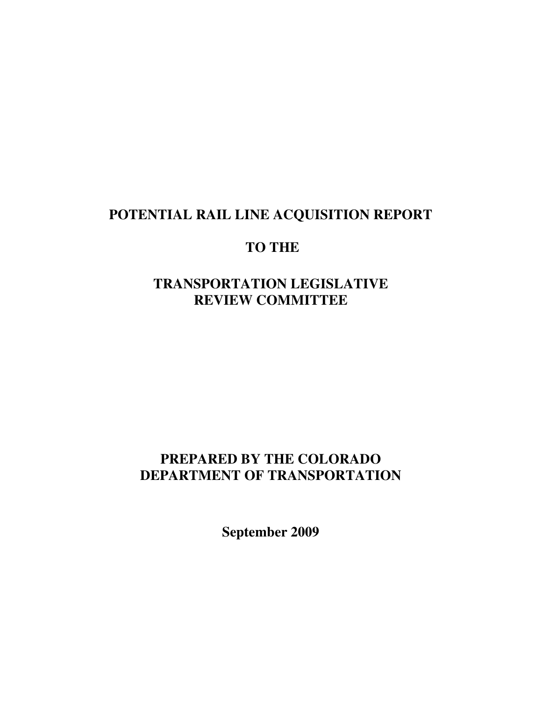## **POTENTIAL RAIL LINE ACQUISITION REPORT**

## **TO THE**

## **TRANSPORTATION LEGISLATIVE REVIEW COMMITTEE**

## **PREPARED BY THE COLORADO DEPARTMENT OF TRANSPORTATION**

**September 2009**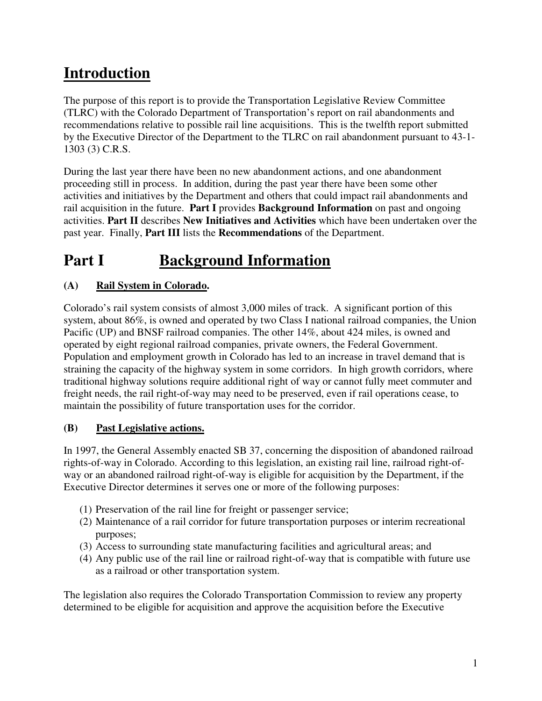# **Introduction**

The purpose of this report is to provide the Transportation Legislative Review Committee (TLRC) with the Colorado Department of Transportation's report on rail abandonments and recommendations relative to possible rail line acquisitions. This is the twelfth report submitted by the Executive Director of the Department to the TLRC on rail abandonment pursuant to 43-1- 1303 (3) C.R.S.

During the last year there have been no new abandonment actions, and one abandonment proceeding still in process. In addition, during the past year there have been some other activities and initiatives by the Department and others that could impact rail abandonments and rail acquisition in the future. **Part I** provides **Background Information** on past and ongoing activities. **Part II** describes **New Initiatives and Activities** which have been undertaken over the past year. Finally, **Part III** lists the **Recommendations** of the Department.

# **Part I** Background Information

## **(A) Rail System in Colorado.**

Colorado's rail system consists of almost 3,000 miles of track. A significant portion of this system, about 86%, is owned and operated by two Class I national railroad companies, the Union Pacific (UP) and BNSF railroad companies. The other 14%, about 424 miles, is owned and operated by eight regional railroad companies, private owners, the Federal Government. Population and employment growth in Colorado has led to an increase in travel demand that is straining the capacity of the highway system in some corridors. In high growth corridors, where traditional highway solutions require additional right of way or cannot fully meet commuter and freight needs, the rail right-of-way may need to be preserved, even if rail operations cease, to maintain the possibility of future transportation uses for the corridor.

## **(B) Past Legislative actions.**

In 1997, the General Assembly enacted SB 37, concerning the disposition of abandoned railroad rights-of-way in Colorado. According to this legislation, an existing rail line, railroad right-ofway or an abandoned railroad right-of-way is eligible for acquisition by the Department, if the Executive Director determines it serves one or more of the following purposes:

- (1) Preservation of the rail line for freight or passenger service;
- (2) Maintenance of a rail corridor for future transportation purposes or interim recreational purposes;
- (3) Access to surrounding state manufacturing facilities and agricultural areas; and
- (4) Any public use of the rail line or railroad right-of-way that is compatible with future use as a railroad or other transportation system.

The legislation also requires the Colorado Transportation Commission to review any property determined to be eligible for acquisition and approve the acquisition before the Executive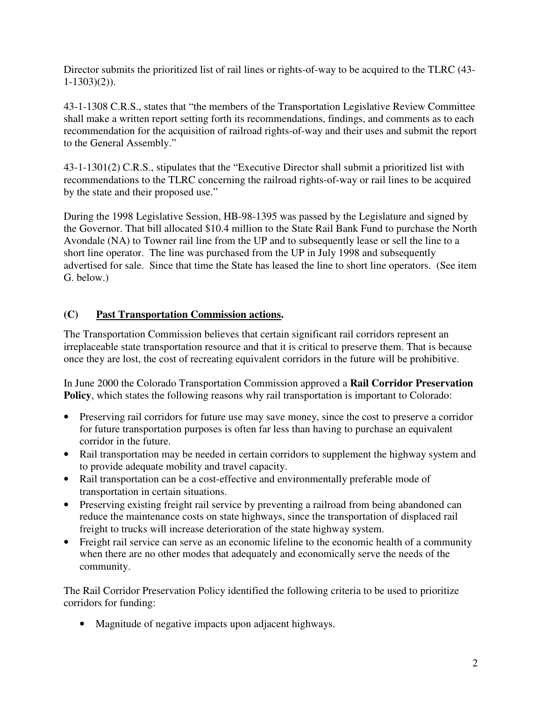Director submits the prioritized list of rail lines or rights-of-way to be acquired to the TLRC (43-  $1-1303(2)$ ).

43-1-1308 C.R.S., states that "the members of the Transportation Legislative Review Committee shall make a written report setting forth its recommendations, findings, and comments as to each recommendation for the acquisition of railroad rights-of-way and their uses and submit the report to the General Assembly."

43-1-1301(2) C.R.S., stipulates that the "Executive Director shall submit a prioritized list with recommendations to the TLRC concerning the railroad rights-of-way or rail lines to be acquired by the state and their proposed use."

During the 1998 Legislative Session, HB-98-1395 was passed by the Legislature and signed by the Governor. That bill allocated \$10.4 million to the State Rail Bank Fund to purchase the North Avondale (NA) to Towner rail line from the UP and to subsequently lease or sell the line to a short line operator. The line was purchased from the UP in July 1998 and subsequently advertised for sale. Since that time the State has leased the line to short line operators. (See item G. below.)

### **(C) Past Transportation Commission actions.**

The Transportation Commission believes that certain significant rail corridors represent an irreplaceable state transportation resource and that it is critical to preserve them. That is because once they are lost, the cost of recreating equivalent corridors in the future will be prohibitive.

In June 2000 the Colorado Transportation Commission approved a **Rail Corridor Preservation Policy**, which states the following reasons why rail transportation is important to Colorado:

- Preserving rail corridors for future use may save money, since the cost to preserve a corridor for future transportation purposes is often far less than having to purchase an equivalent corridor in the future.
- Rail transportation may be needed in certain corridors to supplement the highway system and to provide adequate mobility and travel capacity.
- Rail transportation can be a cost-effective and environmentally preferable mode of transportation in certain situations.
- Preserving existing freight rail service by preventing a railroad from being abandoned can reduce the maintenance costs on state highways, since the transportation of displaced rail freight to trucks will increase deterioration of the state highway system.
- Freight rail service can serve as an economic lifeline to the economic health of a community when there are no other modes that adequately and economically serve the needs of the community.

The Rail Corridor Preservation Policy identified the following criteria to be used to prioritize corridors for funding:

• Magnitude of negative impacts upon adjacent highways.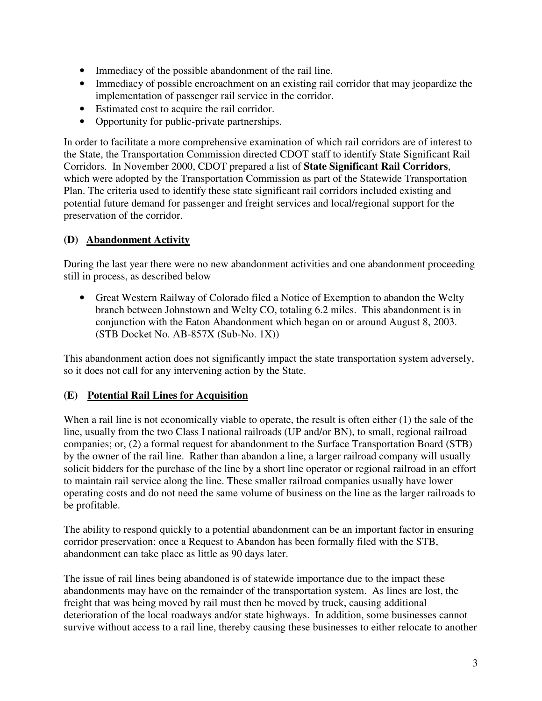- Immediacy of the possible abandonment of the rail line.
- Immediacy of possible encroachment on an existing rail corridor that may jeopardize the implementation of passenger rail service in the corridor.
- Estimated cost to acquire the rail corridor.
- Opportunity for public-private partnerships.

In order to facilitate a more comprehensive examination of which rail corridors are of interest to the State, the Transportation Commission directed CDOT staff to identify State Significant Rail Corridors. In November 2000, CDOT prepared a list of **State Significant Rail Corridors**, which were adopted by the Transportation Commission as part of the Statewide Transportation Plan. The criteria used to identify these state significant rail corridors included existing and potential future demand for passenger and freight services and local/regional support for the preservation of the corridor.

## **(D) Abandonment Activity**

During the last year there were no new abandonment activities and one abandonment proceeding still in process, as described below

• Great Western Railway of Colorado filed a Notice of Exemption to abandon the Welty branch between Johnstown and Welty CO, totaling 6.2 miles. This abandonment is in conjunction with the Eaton Abandonment which began on or around August 8, 2003. (STB Docket No. AB-857X (Sub-No. 1X))

This abandonment action does not significantly impact the state transportation system adversely, so it does not call for any intervening action by the State.

#### **(E) Potential Rail Lines for Acquisition**

When a rail line is not economically viable to operate, the result is often either (1) the sale of the line, usually from the two Class I national railroads (UP and/or BN), to small, regional railroad companies; or, (2) a formal request for abandonment to the Surface Transportation Board (STB) by the owner of the rail line. Rather than abandon a line, a larger railroad company will usually solicit bidders for the purchase of the line by a short line operator or regional railroad in an effort to maintain rail service along the line. These smaller railroad companies usually have lower operating costs and do not need the same volume of business on the line as the larger railroads to be profitable.

The ability to respond quickly to a potential abandonment can be an important factor in ensuring corridor preservation: once a Request to Abandon has been formally filed with the STB, abandonment can take place as little as 90 days later.

The issue of rail lines being abandoned is of statewide importance due to the impact these abandonments may have on the remainder of the transportation system. As lines are lost, the freight that was being moved by rail must then be moved by truck, causing additional deterioration of the local roadways and/or state highways. In addition, some businesses cannot survive without access to a rail line, thereby causing these businesses to either relocate to another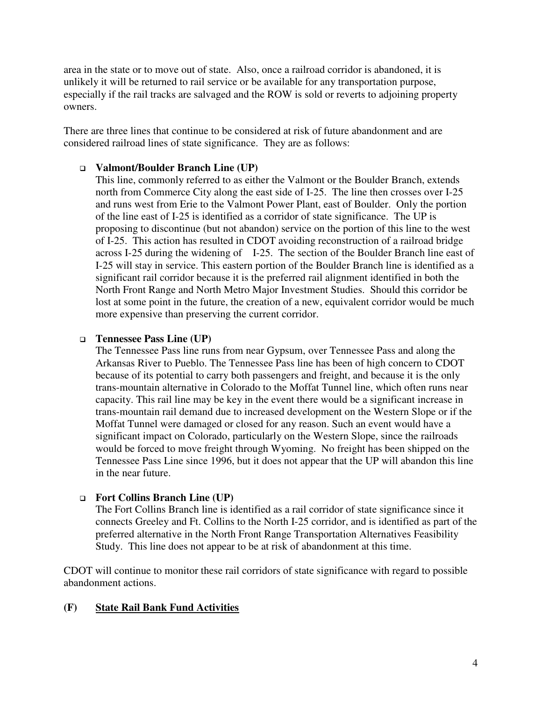area in the state or to move out of state. Also, once a railroad corridor is abandoned, it is unlikely it will be returned to rail service or be available for any transportation purpose, especially if the rail tracks are salvaged and the ROW is sold or reverts to adjoining property owners.

There are three lines that continue to be considered at risk of future abandonment and are considered railroad lines of state significance. They are as follows:

#### **Valmont/Boulder Branch Line (UP)**

This line, commonly referred to as either the Valmont or the Boulder Branch, extends north from Commerce City along the east side of I-25. The line then crosses over I-25 and runs west from Erie to the Valmont Power Plant, east of Boulder. Only the portion of the line east of I-25 is identified as a corridor of state significance. The UP is proposing to discontinue (but not abandon) service on the portion of this line to the west of I-25. This action has resulted in CDOT avoiding reconstruction of a railroad bridge across I-25 during the widening of I-25. The section of the Boulder Branch line east of I-25 will stay in service. This eastern portion of the Boulder Branch line is identified as a significant rail corridor because it is the preferred rail alignment identified in both the North Front Range and North Metro Major Investment Studies. Should this corridor be lost at some point in the future, the creation of a new, equivalent corridor would be much more expensive than preserving the current corridor.

#### **Tennessee Pass Line (UP)**

The Tennessee Pass line runs from near Gypsum, over Tennessee Pass and along the Arkansas River to Pueblo. The Tennessee Pass line has been of high concern to CDOT because of its potential to carry both passengers and freight, and because it is the only trans-mountain alternative in Colorado to the Moffat Tunnel line, which often runs near capacity. This rail line may be key in the event there would be a significant increase in trans-mountain rail demand due to increased development on the Western Slope or if the Moffat Tunnel were damaged or closed for any reason. Such an event would have a significant impact on Colorado, particularly on the Western Slope, since the railroads would be forced to move freight through Wyoming. No freight has been shipped on the Tennessee Pass Line since 1996, but it does not appear that the UP will abandon this line in the near future.

#### **Fort Collins Branch Line (UP)**

The Fort Collins Branch line is identified as a rail corridor of state significance since it connects Greeley and Ft. Collins to the North I-25 corridor, and is identified as part of the preferred alternative in the North Front Range Transportation Alternatives Feasibility Study. This line does not appear to be at risk of abandonment at this time.

CDOT will continue to monitor these rail corridors of state significance with regard to possible abandonment actions.

#### **(F) State Rail Bank Fund Activities**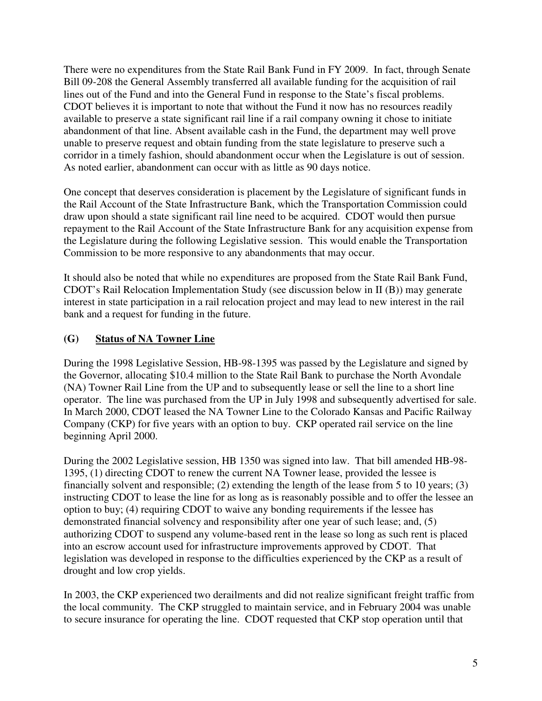There were no expenditures from the State Rail Bank Fund in FY 2009. In fact, through Senate Bill 09-208 the General Assembly transferred all available funding for the acquisition of rail lines out of the Fund and into the General Fund in response to the State's fiscal problems. CDOT believes it is important to note that without the Fund it now has no resources readily available to preserve a state significant rail line if a rail company owning it chose to initiate abandonment of that line. Absent available cash in the Fund, the department may well prove unable to preserve request and obtain funding from the state legislature to preserve such a corridor in a timely fashion, should abandonment occur when the Legislature is out of session. As noted earlier, abandonment can occur with as little as 90 days notice.

One concept that deserves consideration is placement by the Legislature of significant funds in the Rail Account of the State Infrastructure Bank, which the Transportation Commission could draw upon should a state significant rail line need to be acquired. CDOT would then pursue repayment to the Rail Account of the State Infrastructure Bank for any acquisition expense from the Legislature during the following Legislative session. This would enable the Transportation Commission to be more responsive to any abandonments that may occur.

It should also be noted that while no expenditures are proposed from the State Rail Bank Fund, CDOT's Rail Relocation Implementation Study (see discussion below in II (B)) may generate interest in state participation in a rail relocation project and may lead to new interest in the rail bank and a request for funding in the future.

## **(G) Status of NA Towner Line**

During the 1998 Legislative Session, HB-98-1395 was passed by the Legislature and signed by the Governor, allocating \$10.4 million to the State Rail Bank to purchase the North Avondale (NA) Towner Rail Line from the UP and to subsequently lease or sell the line to a short line operator. The line was purchased from the UP in July 1998 and subsequently advertised for sale. In March 2000, CDOT leased the NA Towner Line to the Colorado Kansas and Pacific Railway Company (CKP) for five years with an option to buy. CKP operated rail service on the line beginning April 2000.

During the 2002 Legislative session, HB 1350 was signed into law. That bill amended HB-98- 1395, (1) directing CDOT to renew the current NA Towner lease, provided the lessee is financially solvent and responsible; (2) extending the length of the lease from 5 to 10 years; (3) instructing CDOT to lease the line for as long as is reasonably possible and to offer the lessee an option to buy; (4) requiring CDOT to waive any bonding requirements if the lessee has demonstrated financial solvency and responsibility after one year of such lease; and, (5) authorizing CDOT to suspend any volume-based rent in the lease so long as such rent is placed into an escrow account used for infrastructure improvements approved by CDOT. That legislation was developed in response to the difficulties experienced by the CKP as a result of drought and low crop yields.

In 2003, the CKP experienced two derailments and did not realize significant freight traffic from the local community. The CKP struggled to maintain service, and in February 2004 was unable to secure insurance for operating the line. CDOT requested that CKP stop operation until that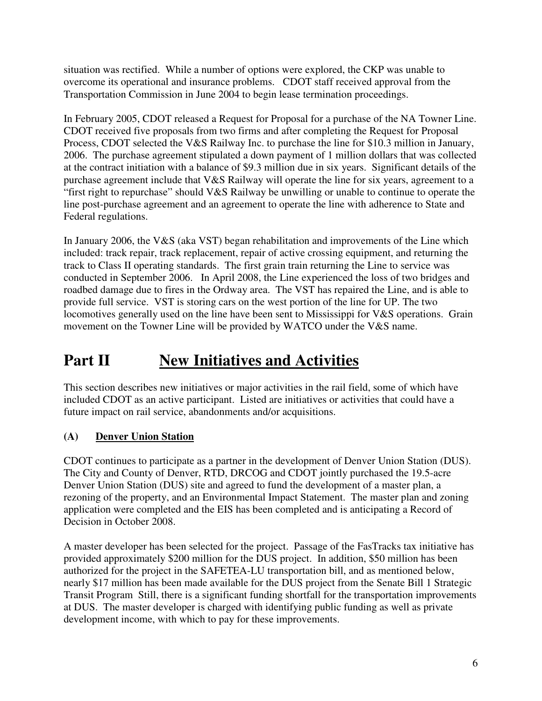situation was rectified. While a number of options were explored, the CKP was unable to overcome its operational and insurance problems. CDOT staff received approval from the Transportation Commission in June 2004 to begin lease termination proceedings.

In February 2005, CDOT released a Request for Proposal for a purchase of the NA Towner Line. CDOT received five proposals from two firms and after completing the Request for Proposal Process, CDOT selected the V&S Railway Inc. to purchase the line for \$10.3 million in January, 2006. The purchase agreement stipulated a down payment of 1 million dollars that was collected at the contract initiation with a balance of \$9.3 million due in six years. Significant details of the purchase agreement include that V&S Railway will operate the line for six years, agreement to a "first right to repurchase" should V&S Railway be unwilling or unable to continue to operate the line post-purchase agreement and an agreement to operate the line with adherence to State and Federal regulations.

In January 2006, the V&S (aka VST) began rehabilitation and improvements of the Line which included: track repair, track replacement, repair of active crossing equipment, and returning the track to Class II operating standards. The first grain train returning the Line to service was conducted in September 2006. In April 2008, the Line experienced the loss of two bridges and roadbed damage due to fires in the Ordway area. The VST has repaired the Line, and is able to provide full service. VST is storing cars on the west portion of the line for UP. The two locomotives generally used on the line have been sent to Mississippi for V&S operations. Grain movement on the Towner Line will be provided by WATCO under the V&S name.

# **Part II New Initiatives and Activities**

This section describes new initiatives or major activities in the rail field, some of which have included CDOT as an active participant. Listed are initiatives or activities that could have a future impact on rail service, abandonments and/or acquisitions.

## **(A) Denver Union Station**

CDOT continues to participate as a partner in the development of Denver Union Station (DUS). The City and County of Denver, RTD, DRCOG and CDOT jointly purchased the 19.5-acre Denver Union Station (DUS) site and agreed to fund the development of a master plan, a rezoning of the property, and an Environmental Impact Statement. The master plan and zoning application were completed and the EIS has been completed and is anticipating a Record of Decision in October 2008.

A master developer has been selected for the project. Passage of the FasTracks tax initiative has provided approximately \$200 million for the DUS project. In addition, \$50 million has been authorized for the project in the SAFETEA-LU transportation bill, and as mentioned below, nearly \$17 million has been made available for the DUS project from the Senate Bill 1 Strategic Transit Program Still, there is a significant funding shortfall for the transportation improvements at DUS. The master developer is charged with identifying public funding as well as private development income, with which to pay for these improvements.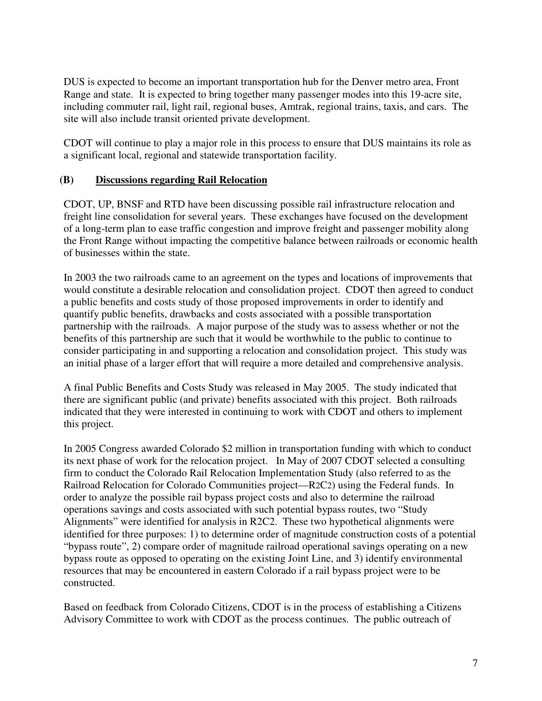DUS is expected to become an important transportation hub for the Denver metro area, Front Range and state. It is expected to bring together many passenger modes into this 19-acre site, including commuter rail, light rail, regional buses, Amtrak, regional trains, taxis, and cars. The site will also include transit oriented private development.

CDOT will continue to play a major role in this process to ensure that DUS maintains its role as a significant local, regional and statewide transportation facility.

#### **(B) Discussions regarding Rail Relocation**

CDOT, UP, BNSF and RTD have been discussing possible rail infrastructure relocation and freight line consolidation for several years. These exchanges have focused on the development of a long-term plan to ease traffic congestion and improve freight and passenger mobility along the Front Range without impacting the competitive balance between railroads or economic health of businesses within the state.

In 2003 the two railroads came to an agreement on the types and locations of improvements that would constitute a desirable relocation and consolidation project. CDOT then agreed to conduct a public benefits and costs study of those proposed improvements in order to identify and quantify public benefits, drawbacks and costs associated with a possible transportation partnership with the railroads. A major purpose of the study was to assess whether or not the benefits of this partnership are such that it would be worthwhile to the public to continue to consider participating in and supporting a relocation and consolidation project. This study was an initial phase of a larger effort that will require a more detailed and comprehensive analysis.

A final Public Benefits and Costs Study was released in May 2005. The study indicated that there are significant public (and private) benefits associated with this project. Both railroads indicated that they were interested in continuing to work with CDOT and others to implement this project.

In 2005 Congress awarded Colorado \$2 million in transportation funding with which to conduct its next phase of work for the relocation project. In May of 2007 CDOT selected a consulting firm to conduct the Colorado Rail Relocation Implementation Study (also referred to as the Railroad Relocation for Colorado Communities project—R2C2) using the Federal funds. In order to analyze the possible rail bypass project costs and also to determine the railroad operations savings and costs associated with such potential bypass routes, two "Study Alignments" were identified for analysis in R2C2. These two hypothetical alignments were identified for three purposes: 1) to determine order of magnitude construction costs of a potential "bypass route", 2) compare order of magnitude railroad operational savings operating on a new bypass route as opposed to operating on the existing Joint Line, and 3) identify environmental resources that may be encountered in eastern Colorado if a rail bypass project were to be constructed.

Based on feedback from Colorado Citizens, CDOT is in the process of establishing a Citizens Advisory Committee to work with CDOT as the process continues. The public outreach of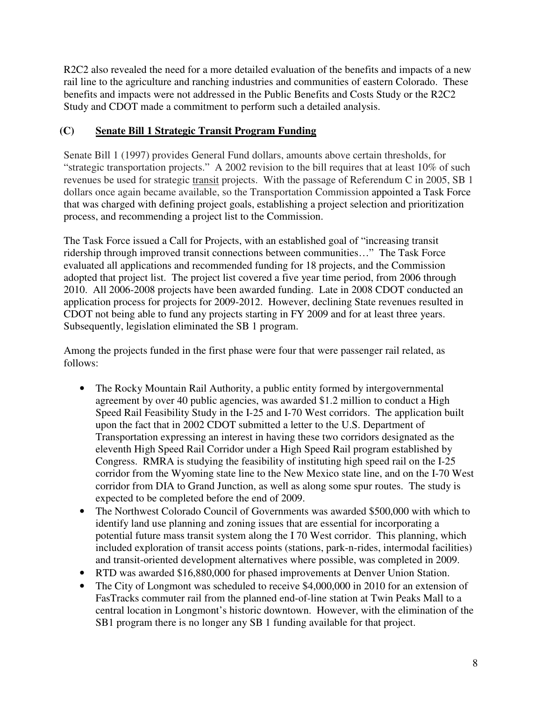R2C2 also revealed the need for a more detailed evaluation of the benefits and impacts of a new rail line to the agriculture and ranching industries and communities of eastern Colorado. These benefits and impacts were not addressed in the Public Benefits and Costs Study or the R2C2 Study and CDOT made a commitment to perform such a detailed analysis.

## **(C) Senate Bill 1 Strategic Transit Program Funding**

Senate Bill 1 (1997) provides General Fund dollars, amounts above certain thresholds, for "strategic transportation projects." A 2002 revision to the bill requires that at least 10% of such revenues be used for strategic transit projects. With the passage of Referendum C in 2005, SB 1 dollars once again became available, so the Transportation Commission appointed a Task Force that was charged with defining project goals, establishing a project selection and prioritization process, and recommending a project list to the Commission.

The Task Force issued a Call for Projects, with an established goal of "increasing transit ridership through improved transit connections between communities…" The Task Force evaluated all applications and recommended funding for 18 projects, and the Commission adopted that project list. The project list covered a five year time period, from 2006 through 2010. All 2006-2008 projects have been awarded funding. Late in 2008 CDOT conducted an application process for projects for 2009-2012. However, declining State revenues resulted in CDOT not being able to fund any projects starting in FY 2009 and for at least three years. Subsequently, legislation eliminated the SB 1 program.

Among the projects funded in the first phase were four that were passenger rail related, as follows:

- The Rocky Mountain Rail Authority, a public entity formed by intergovernmental agreement by over 40 public agencies, was awarded \$1.2 million to conduct a High Speed Rail Feasibility Study in the I-25 and I-70 West corridors. The application built upon the fact that in 2002 CDOT submitted a letter to the U.S. Department of Transportation expressing an interest in having these two corridors designated as the eleventh High Speed Rail Corridor under a High Speed Rail program established by Congress. RMRA is studying the feasibility of instituting high speed rail on the I-25 corridor from the Wyoming state line to the New Mexico state line, and on the I-70 West corridor from DIA to Grand Junction, as well as along some spur routes. The study is expected to be completed before the end of 2009.
- The Northwest Colorado Council of Governments was awarded \$500,000 with which to identify land use planning and zoning issues that are essential for incorporating a potential future mass transit system along the I 70 West corridor. This planning, which included exploration of transit access points (stations, park-n-rides, intermodal facilities) and transit-oriented development alternatives where possible, was completed in 2009.
- RTD was awarded \$16,880,000 for phased improvements at Denver Union Station.
- The City of Longmont was scheduled to receive \$4,000,000 in 2010 for an extension of FasTracks commuter rail from the planned end-of-line station at Twin Peaks Mall to a central location in Longmont's historic downtown. However, with the elimination of the SB1 program there is no longer any SB 1 funding available for that project.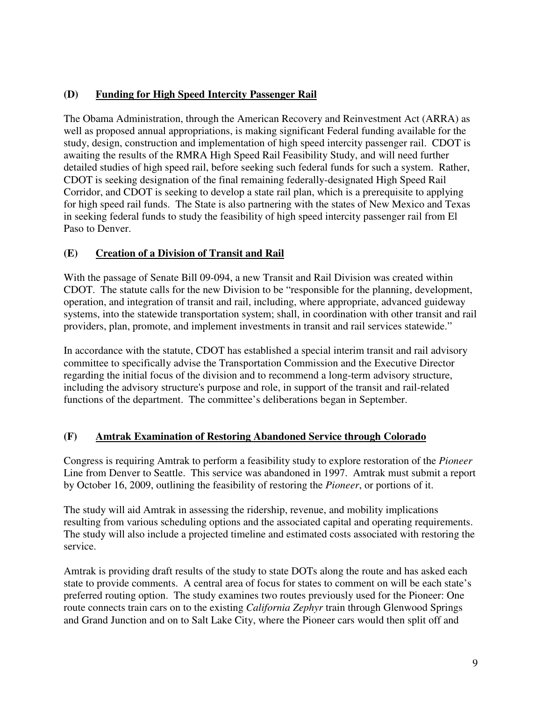## **(D) Funding for High Speed Intercity Passenger Rail**

The Obama Administration, through the American Recovery and Reinvestment Act (ARRA) as well as proposed annual appropriations, is making significant Federal funding available for the study, design, construction and implementation of high speed intercity passenger rail. CDOT is awaiting the results of the RMRA High Speed Rail Feasibility Study, and will need further detailed studies of high speed rail, before seeking such federal funds for such a system. Rather, CDOT is seeking designation of the final remaining federally-designated High Speed Rail Corridor, and CDOT is seeking to develop a state rail plan, which is a prerequisite to applying for high speed rail funds. The State is also partnering with the states of New Mexico and Texas in seeking federal funds to study the feasibility of high speed intercity passenger rail from El Paso to Denver.

## **(E) Creation of a Division of Transit and Rail**

With the passage of Senate Bill 09-094, a new Transit and Rail Division was created within CDOT. The statute calls for the new Division to be "responsible for the planning, development, operation, and integration of transit and rail, including, where appropriate, advanced guideway systems, into the statewide transportation system; shall, in coordination with other transit and rail providers, plan, promote, and implement investments in transit and rail services statewide."

In accordance with the statute, CDOT has established a special interim transit and rail advisory committee to specifically advise the Transportation Commission and the Executive Director regarding the initial focus of the division and to recommend a long-term advisory structure, including the advisory structure's purpose and role, in support of the transit and rail-related functions of the department. The committee's deliberations began in September.

## **(F) Amtrak Examination of Restoring Abandoned Service through Colorado**

Congress is requiring Amtrak to perform a feasibility study to explore restoration of the *Pioneer*  Line from Denver to Seattle. This service was abandoned in 1997. Amtrak must submit a report by October 16, 2009, outlining the feasibility of restoring the *Pioneer*, or portions of it.

The study will aid Amtrak in assessing the ridership, revenue, and mobility implications resulting from various scheduling options and the associated capital and operating requirements. The study will also include a projected timeline and estimated costs associated with restoring the service.

Amtrak is providing draft results of the study to state DOTs along the route and has asked each state to provide comments. A central area of focus for states to comment on will be each state's preferred routing option. The study examines two routes previously used for the Pioneer: One route connects train cars on to the existing *California Zephyr* train through Glenwood Springs and Grand Junction and on to Salt Lake City, where the Pioneer cars would then split off and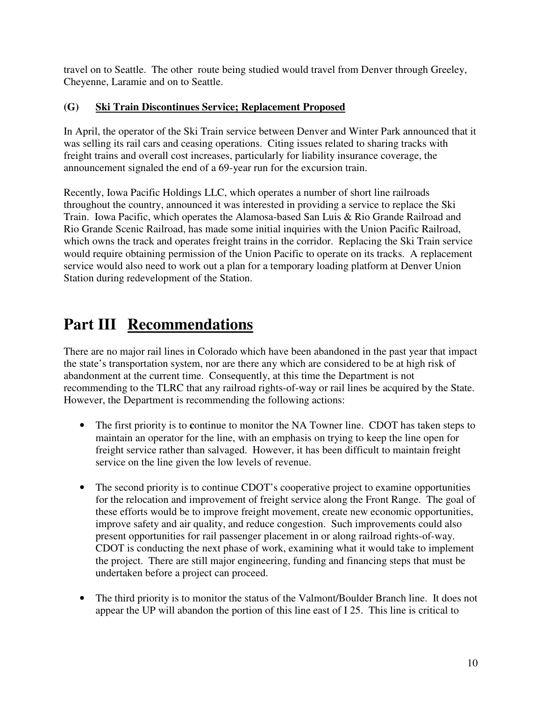travel on to Seattle. The other route being studied would travel from Denver through Greeley, Cheyenne, Laramie and on to Seattle.

## **(G) Ski Train Discontinues Service; Replacement Proposed**

In April, the operator of the Ski Train service between Denver and Winter Park announced that it was selling its rail cars and ceasing operations. Citing issues related to sharing tracks with freight trains and overall cost increases, particularly for liability insurance coverage, the announcement signaled the end of a 69-year run for the excursion train.

Recently, Iowa Pacific Holdings LLC, which operates a number of short line railroads throughout the country, announced it was interested in providing a service to replace the Ski Train. Iowa Pacific, which operates the Alamosa-based San Luis & Rio Grande Railroad and Rio Grande Scenic Railroad, has made some initial inquiries with the Union Pacific Railroad, which owns the track and operates freight trains in the corridor. Replacing the Ski Train service would require obtaining permission of the Union Pacific to operate on its tracks. A replacement service would also need to work out a plan for a temporary loading platform at Denver Union Station during redevelopment of the Station.

# **Part III Recommendations**

There are no major rail lines in Colorado which have been abandoned in the past year that impact the state's transportation system, nor are there any which are considered to be at high risk of abandonment at the current time. Consequently, at this time the Department is not recommending to the TLRC that any railroad rights-of-way or rail lines be acquired by the State. However, the Department is recommending the following actions:

- The first priority is to **c**ontinue to monitor the NA Towner line. CDOT has taken steps to maintain an operator for the line, with an emphasis on trying to keep the line open for freight service rather than salvaged. However, it has been difficult to maintain freight service on the line given the low levels of revenue.
- The second priority is to continue CDOT's cooperative project to examine opportunities for the relocation and improvement of freight service along the Front Range. The goal of these efforts would be to improve freight movement, create new economic opportunities, improve safety and air quality, and reduce congestion. Such improvements could also present opportunities for rail passenger placement in or along railroad rights-of-way. CDOT is conducting the next phase of work, examining what it would take to implement the project. There are still major engineering, funding and financing steps that must be undertaken before a project can proceed.
- The third priority is to monitor the status of the Valmont/Boulder Branch line. It does not appear the UP will abandon the portion of this line east of I 25. This line is critical to